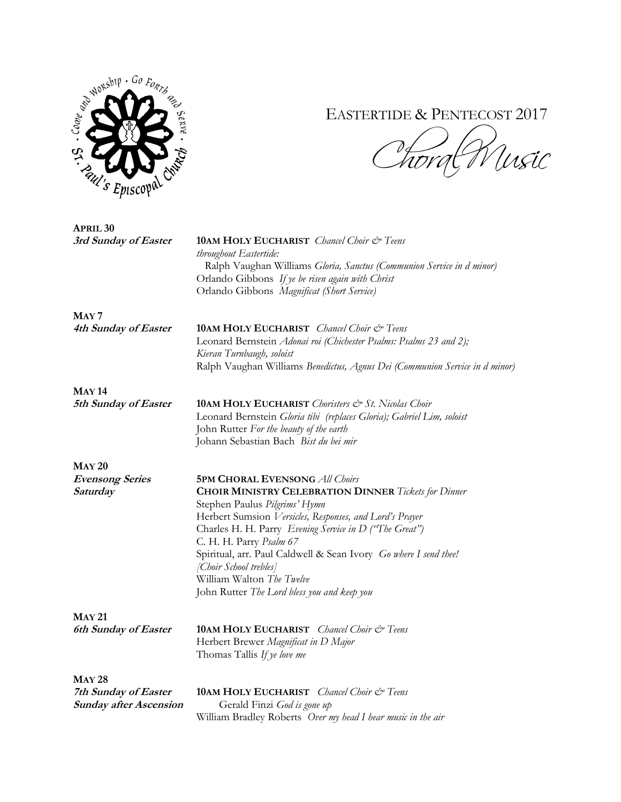

## EASTERTIDE & PENTECOST 2017

 $\partial_{\zeta}$ .<br>Ursic Trorge

| <b>APRIL 30</b>               |                                                                             |
|-------------------------------|-----------------------------------------------------------------------------|
| 3rd Sunday of Easter          | <b>10AM HOLY EUCHARIST</b> Chancel Choir & Teens                            |
|                               | throughout Eastertide:                                                      |
|                               | Ralph Vaughan Williams Gloria, Sanctus (Communion Service in d minor)       |
|                               | Orlando Gibbons If ye be risen again with Christ                            |
|                               | Orlando Gibbons Magnificat (Short Service)                                  |
| MAY <sub>7</sub>              |                                                                             |
| 4th Sunday of Easter          | 10AM HOLY EUCHARIST Chancel Choir & Teens                                   |
|                               | Leonard Bernstein Adonai roi (Chichester Psalms: Psalms 23 and 2);          |
|                               | Kieran Turnbaugh, soloist                                                   |
|                               | Ralph Vaughan Williams Benedictus, Agnus Dei (Communion Service in d minor) |
| <b>MAY 14</b>                 |                                                                             |
| 5th Sunday of Easter          | <b>10AM HOLY EUCHARIST</b> Choristers & St. Nicolas Choir                   |
|                               | Leonard Bernstein Gloria tibi (replaces Gloria); Gabriel Lim, soloist       |
|                               | John Rutter For the beauty of the earth                                     |
|                               | Johann Sebastian Bach Bist du bei mir                                       |
| <b>MAY 20</b>                 |                                                                             |
| <b>Evensong Series</b>        | <b>5PM CHORAL EVENSONG All Choirs</b>                                       |
| Saturday                      |                                                                             |
|                               | <b>CHOIR MINISTRY CELEBRATION DINNER Tickets for Dinner</b>                 |
|                               | Stephen Paulus Pilgrims' Hymn                                               |
|                               | Herbert Sumsion Versicles, Responses, and Lord's Prayer                     |
|                               | Charles H. H. Parry Evening Service in D ("The Great")                      |
|                               | C. H. H. Parry Psalm 67                                                     |
|                               | Spiritual, arr. Paul Caldwell & Sean Ivory Go where I send thee!            |
|                               | [Choir School trebles]                                                      |
|                               | William Walton The Twelve                                                   |
|                               | John Rutter The Lord bless you and keep you                                 |
| <b>MAY 21</b>                 |                                                                             |
| <b>6th Sunday of Easter</b>   | <b>10AM HOLY EUCHARIST</b> Chancel Choir & Teens                            |
|                               | Herbert Brewer Magnificat in D Major                                        |
|                               | Thomas Tallis If ye love me                                                 |
| <b>MAY 28</b>                 |                                                                             |
| 7th Sunday of Easter          | <b>10AM HOLY EUCHARIST</b> Chancel Choir & Teens                            |
| <b>Sunday after Ascension</b> | Gerald Finzi God is gone up                                                 |